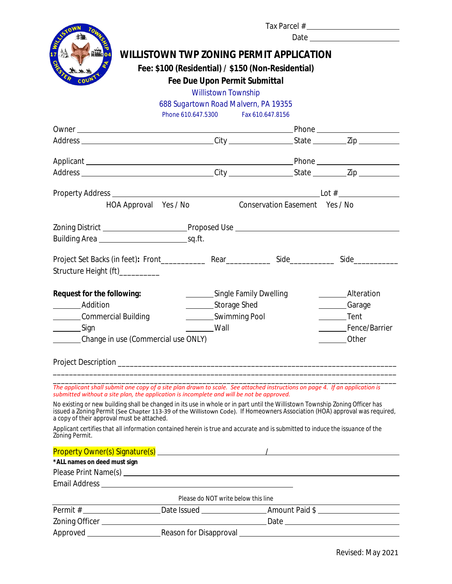| <b>ET WITZ</b>                                                                                                                                                                                                                                             |                       |                                      | <b>WILLISTOWN TWP ZONING PERMIT APPLICATION</b>    |                       |
|------------------------------------------------------------------------------------------------------------------------------------------------------------------------------------------------------------------------------------------------------------|-----------------------|--------------------------------------|----------------------------------------------------|-----------------------|
|                                                                                                                                                                                                                                                            |                       |                                      |                                                    |                       |
|                                                                                                                                                                                                                                                            |                       |                                      | Fee: \$100 (Residential) / \$150 (Non-Residential) |                       |
|                                                                                                                                                                                                                                                            |                       | <b>Fee Due Upon Permit Submittal</b> |                                                    |                       |
|                                                                                                                                                                                                                                                            |                       | <b>Willistown Township</b>           |                                                    |                       |
|                                                                                                                                                                                                                                                            |                       | 688 Sugartown Road Malvern, PA 19355 | Fax 610.647.8156                                   |                       |
|                                                                                                                                                                                                                                                            | Phone 610.647.5300    |                                      |                                                    |                       |
|                                                                                                                                                                                                                                                            |                       |                                      |                                                    |                       |
|                                                                                                                                                                                                                                                            |                       |                                      |                                                    |                       |
|                                                                                                                                                                                                                                                            |                       |                                      |                                                    |                       |
|                                                                                                                                                                                                                                                            |                       |                                      |                                                    |                       |
|                                                                                                                                                                                                                                                            |                       |                                      |                                                    |                       |
|                                                                                                                                                                                                                                                            |                       |                                      |                                                    |                       |
|                                                                                                                                                                                                                                                            | HOA Approval Yes / No |                                      | Conservation Easement Yes / No                     |                       |
|                                                                                                                                                                                                                                                            |                       |                                      |                                                    |                       |
|                                                                                                                                                                                                                                                            |                       |                                      |                                                    |                       |
|                                                                                                                                                                                                                                                            |                       |                                      |                                                    |                       |
|                                                                                                                                                                                                                                                            |                       |                                      |                                                    |                       |
|                                                                                                                                                                                                                                                            |                       |                                      |                                                    |                       |
| Structure Height (ft)__________                                                                                                                                                                                                                            |                       |                                      |                                                    |                       |
|                                                                                                                                                                                                                                                            |                       |                                      |                                                    |                       |
| Request for the following:                                                                                                                                                                                                                                 |                       | Single Family Dwelling               |                                                    | Alteration            |
| ____________Addition                                                                                                                                                                                                                                       |                       | ___________Storage Shed              |                                                    | Carage                |
| Commercial Building                                                                                                                                                                                                                                        |                       | ____________Swimming Pool            |                                                    | _________Tent         |
| $\frac{\ }{\ }$ Sign                                                                                                                                                                                                                                       |                       | Wall                                 |                                                    | ________Fence/Barrier |
| Change in use (Commercial use ONLY)                                                                                                                                                                                                                        |                       |                                      |                                                    | <b>Other</b>          |
|                                                                                                                                                                                                                                                            |                       |                                      |                                                    |                       |
|                                                                                                                                                                                                                                                            |                       |                                      |                                                    |                       |
|                                                                                                                                                                                                                                                            |                       |                                      |                                                    |                       |
| The applicant shall submit one copy of a site plan drawn to scale. See attached instructions on page 4. If an application is                                                                                                                               |                       |                                      |                                                    |                       |
| submitted without a site plan, the application is incomplete and will be not be approved.                                                                                                                                                                  |                       |                                      |                                                    |                       |
| No existing or new building shall be changed in its use in whole or in part until the Willistown Township Zoning Officer has<br>issued a Zoning Permit (See Chapter 113-39 of the Willistown Code). If Homeowners Association (HOA) approval was required, |                       |                                      |                                                    |                       |
| a copy of their approval must be attached.                                                                                                                                                                                                                 |                       |                                      |                                                    |                       |
| Applicant certifies that all information contained herein is true and accurate and is submitted to induce the issuance of the<br>Zoning Permit.                                                                                                            |                       |                                      |                                                    |                       |
|                                                                                                                                                                                                                                                            |                       |                                      |                                                    |                       |
|                                                                                                                                                                                                                                                            |                       |                                      |                                                    |                       |
| *ALL names on deed must sign                                                                                                                                                                                                                               |                       |                                      |                                                    |                       |
|                                                                                                                                                                                                                                                            |                       |                                      |                                                    |                       |
|                                                                                                                                                                                                                                                            |                       |                                      |                                                    |                       |
|                                                                                                                                                                                                                                                            |                       | Please do NOT write below this line  |                                                    |                       |
|                                                                                                                                                                                                                                                            |                       |                                      |                                                    |                       |
|                                                                                                                                                                                                                                                            |                       |                                      |                                                    |                       |
|                                                                                                                                                                                                                                                            |                       |                                      |                                                    |                       |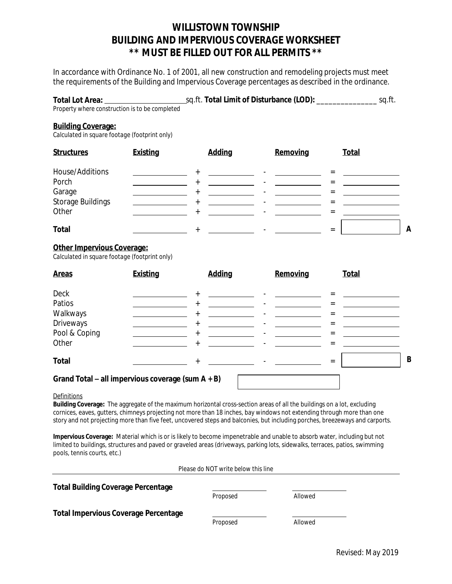### **WILLISTOWN TOWNSHIP BUILDING AND IMPERVIOUS COVERAGE WORKSHEET \*\* MUST BE FILLED OUT FOR ALL PERMITS \*\***

In accordance with Ordinance No. 1 of 2001, all new construction and remodeling projects must meet the requirements of the Building and Impervious Coverage percentages as described in the ordinance.

| Total Lot Area:                                | sq.ft. Total Limit of Disturbance (LOD): | sq.ft. |
|------------------------------------------------|------------------------------------------|--------|
| Property where construction is to be completed |                                          |        |

#### **Building Coverage:**

*Calculated in square footage (footprint only)*

| <b>Structures</b>          | <b>Existing</b> | <b>Adding</b> | Removing | <b>Total</b> |
|----------------------------|-----------------|---------------|----------|--------------|
| House/Additions<br>Porch   |                 |               |          |              |
| Garage                     |                 |               | =        |              |
| Storage Buildings<br>Other |                 |               |          |              |
| <b>Total</b>               |                 |               | $=$      | A            |

#### **Other Impervious Coverage:**

*Calculated in square footage (footprint only)*

| <b>Areas</b>  | <b>Existing</b>                                   | <b>Adding</b> | Removing | <b>Total</b> |   |
|---------------|---------------------------------------------------|---------------|----------|--------------|---|
| <b>Deck</b>   |                                                   | $^{+}$        |          |              |   |
| Patios        |                                                   | $^{+}$        |          | $=$          |   |
| Walkways      |                                                   | $^{+}$        |          | =            |   |
| Driveways     |                                                   | $^{+}$        |          |              |   |
| Pool & Coping |                                                   | $^{+}$        |          | =            |   |
| Other         |                                                   | $^{+}$        |          | $=$          |   |
| <b>Total</b>  |                                                   | $^{+}$        |          | $=$          | B |
|               | Grand Total - all impervious coverage (sum A + B) |               |          |              |   |

**Definitions** 

**Building Coverage:** The aggregate of the maximum horizontal cross-section areas of all the buildings on a lot, excluding cornices, eaves, gutters, chimneys projecting not more than 18 inches, bay windows not extending through more than one story and not projecting more than five feet, uncovered steps and balconies, but including porches, breezeways and carports.

**Impervious Coverage:** Material which is or is likely to become impenetrable and unable to absorb water, including but not limited to buildings, structures and paved or graveled areas (driveways, parking lots, sidewalks, terraces, patios, swimming pools, tennis courts, etc.)

*Please do NOT write below this line*

| <b>Total Building Coverage Percentage</b>   | Proposed | Allowed |  |
|---------------------------------------------|----------|---------|--|
| <b>Total Impervious Coverage Percentage</b> | Proposed | Allowed |  |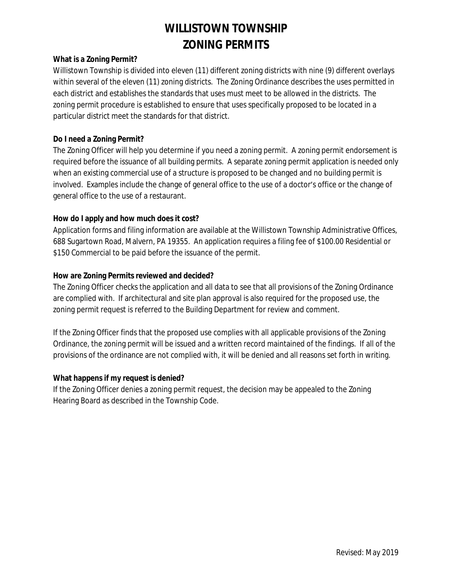# **WILLISTOWN TOWNSHIP ZONING PERMITS**

#### **What is a Zoning Permit?**

Willistown Township is divided into eleven (11) different zoning districts with nine (9) different overlays within several of the eleven (11) zoning districts. The Zoning Ordinance describes the uses permitted in each district and establishes the standards that uses must meet to be allowed in the districts. The zoning permit procedure is established to ensure that uses specifically proposed to be located in a particular district meet the standards for that district.

#### **Do I need a Zoning Permit?**

The Zoning Officer will help you determine if you need a zoning permit. A zoning permit endorsement is required before the issuance of all building permits. A separate zoning permit application is needed only when an existing commercial use of a structure is proposed to be changed and no building permit is involved. Examples include the change of general office to the use of a doctor's office or the change of general office to the use of a restaurant.

#### **How do I apply and how much does it cost?**

Application forms and filing information are available at the Willistown Township Administrative Offices, 688 Sugartown Road, Malvern, PA 19355. An application requires a filing fee of \$100.00 Residential or \$150 Commercial to be paid before the issuance of the permit.

#### **How are Zoning Permits reviewed and decided?**

The Zoning Officer checks the application and all data to see that all provisions of the Zoning Ordinance are complied with. If architectural and site plan approval is also required for the proposed use, the zoning permit request is referred to the Building Department for review and comment.

If the Zoning Officer finds that the proposed use complies with all applicable provisions of the Zoning Ordinance, the zoning permit will be issued and a written record maintained of the findings. If all of the provisions of the ordinance are not complied with, it will be denied and all reasons set forth in writing.

#### **What happens if my request is denied?**

If the Zoning Officer denies a zoning permit request, the decision may be appealed to the Zoning Hearing Board as described in the Township Code.